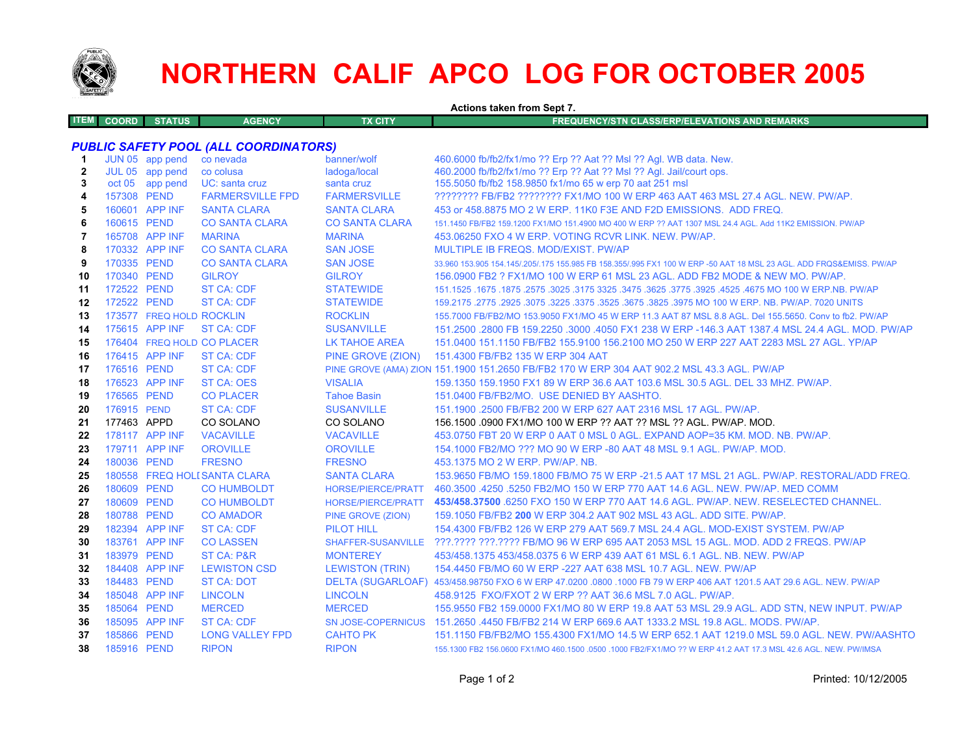

## **NORTHERN CALIF APCO LOG FOR OCTOBER 2005**

**Actions taken from Sept 7. ITEM COORD STATUS AGENCY TX CITY FREQUENCY/STN CLASS/ERP/ELEVATIONS AND REMARKS***PUBLIC SAFETY POOL (ALL COORDINATORS)* **1** JUN 05 app pend co nevada banner/wolf 460.6000 fb/fb2/fx1/mo ?? Erp ?? Aat ?? Msl ?? Agl. WB data. New. **2** JUL 05 app pend co colusa ladoga/local 460.2000 fb/fb2/fx1/mo ?? Erp ?? Aat ?? Msl ?? Agl. Jail/court ops. **3**oct 05 app pend UC: santa cruz santa cruz santa cruz 155.5050 fb/fb2 158.9850 fx1/mo 65 w erp 70 aat 251 msl **4** 157308 PEND FARMERSVILLE FPD FARMERSVILLE ???????? FB/FB2 ???????? FX1/MO 100 W ERP 463 AAT 463 MSL 27.4 AGL. NEW. PW/AP. **5** 160601 APP INF SANTA CLARA SANTA CLARA 453 or 458.8875 MO 2 W ERP. 11K0 F3E AND F2D EMISSIONS. ADD FREQ. **6** 160615 PEND CO SANTA CLARA CO SANTA CLARA 151.1450 FB/FB2 159.1200 FX1/MO 151.4900 MO 400 W ERP ?? AAT 1307 MSL 24.4 AGL. Add 11K2 EMISSION. PW/AP **7** 165708 APP INF MARINA MARINA 453.06250 FXO 4 W ERP. VOTING RCVR LINK. NEW. PW/AP. **8** 170332 APP INF CO SANTA CLARA SAN JOSE MULTIPLE IB FREQS. MOD/EXIST. PW/AP**9** 170335 PEND CO SANTA CLARA SAN JOSE 33.960 153.905 154.145/.205/.175 155.985 FB 158.355/.995 FX1 100 W ERP -50 AAT 18 MSL 23 AGL. ADD FRQS&EMISS. PW/AP **10** 170340 PEND GILROY GILROY 156.0900 FB2 ? FX1/MO 100 W ERP 61 MSL 23 AGL. ADD FB2 MODE & NEW MO. PW/AP. **11** 172522 PEND ST CA: CDF STATEWIDE 151.1525 .1675 .1875 .2575 .3025 .3175 3325 .3475 .3625 .3775 .3925 .4525 .4675 MO 100 W ERP.NB. PW/AP **12** 172522 PEND ST CA: CDF STATEWIDE 159.2175 .2775 .2925 .3075 .3225 .3375 .3525 .3675 .3825 .3975 MO 100 W ERP. NB. PW/AP. 7020 UNITS **13**173577 FREQ HOLD ROCKLIN ROCKLIN ROCKLIN 155.7000 FB/FB2/MO 153.9050 FX1/MO 45 W ERP 11.3 AAT 87 MSL 8.8 AGL. Del 155.5650. Conv to fb2. PW/AP **14** 175615 APP INF ST CA: CDF SUSANVILLE 151.2500 .2800 FB 159.2250 .3000 .4050 FX1 238 W ERP -146.3 AAT 1387.4 MSL 24.4 AGL. MOD. PW/AP**15**176404 FREQ HOLD CO PLACER LK TAHOE AREA 151.0400 151.1150 FB/FB2 155.9100 156.2100 MO 250 W ERP 227 AAT 2283 MSL 27 AGL. YP/AP **16** 176415 APP INF ST CA: CDF PINE GROVE (ZION) 151.4300 FB/FB2 135 W ERP 304 AAT **17** 176516 PEND ST CA: CDF PINE GROVE (AMA) ZION 151.1900 151.2650 FB/FB2 170 W ERP 304 AAT 902.2 MSL 43.3 AGL. PW/AP **18** 176523 APP INF ST CA: OES VISALIA 159.1350 159.1950 FX1 89 W ERP 36.6 AAT 103.6 MSL 30.5 AGL. DEL 33 MHZ. PW/AP. **19**176565 PEND CO PLACER Tahoe Basin 151.0400 FB/FB2/MO. USE DENIED BY AASHTO. **20** 176915 PENDST CA: CDF SUSANVILLE 151.1900 .2500 FB/FB2 200 W ERP 627 AAT 2316 MSL 17 AGL. PW/AP. **21** 177463 APPD CO SOLANO CO SOLANO 156.1500 .0900 FX1/MO 100 W ERP ?? AAT ?? MSL ?? AGL. PW/AP. MOD. **22** 178117 APP INF VACAVILLE VACAVILLE 453.0750 FBT 20 W ERP 0 AAT 0 MSL 0 AGL. EXPAND AOP=35 KM. MOD. NB. PW/AP. **23**179711 APP INF OROVILLE OROVILLE OROVILLE 154.1000 FB2/MO ??? MO 90 W ERP -80 AAT 48 MSL 9.1 AGL. PW/AP. MOD. **24** 180036 PEND FRESNO FRESNO 453.1375 MO 2 W ERP. PW/AP. NB. **25** 180558 FREQ HOLDSANTA CLARA SANTA CLARA 153.9650 FB/MO 159.1800 FB/MO 75 W ERP -21.5 AAT 17 MSL 21 AGL. PW/AP. RESTORAL/ADD FREQ. **26** 180609 PEND CO HUMBOLDT HORSE/PIERCE/PRATT 460.3500 .4250 .5250 FB2/MO 150 W ERP 770 AAT 14.6 AGL. NEW. PW/AP. MED COMM**27** 180609 PEND CO HUMBOLDT HORSE/PIERCE/PRATT **453/458.37500** .6250 FXO 150 W ERP 770 AAT 14.6 AGL. PW/AP. NEW. RESELECTED CHANNEL. **28** 180788 PEND CO AMADOR PINE GROVE (ZION) 159.1050 FB/FB2 **200** W ERP 304.2 AAT 902 MSL 43 AGL. ADD SITE. PW/AP. **29** 182394 APP INF ST CA: CDF PILOT HILL 154.4300 FB/FB2 126 W ERP 279 AAT 569.7 MSL 24.4 AGL. MOD-EXIST SYSTEM. PW/AP**30** 183761 APP INF CO LASSEN SHAFFER-SUSANVILLE ???.???? ???.???? FB/MO 96 W ERP 695 AAT 2053 MSL 15 AGL. MOD. ADD 2 FREQS. PW/AP **31** 183979 PEND ST CA: P&R MONTEREY 453/458.1375 453/458.0375 6 W ERP 439 AAT 61 MSL 6.1 AGL. NB. NEW. PW/AP**32** 184408 APP INF LEWISTON CSD LEWISTON (TRIN) 154.4450 FB/MO 60 W ERP -227 AAT 638 MSL 10.7 AGL. NEW. PW/AP **33** 184483 PEND ST CA: DOT DELTA (SUGARLOAF) 453/458.98750 FXO 6 W ERP 47.0200 .0800 .1000 FB 79 W ERP 406 AAT 1201.5 AAT 29.6 AGL. NEW. PW/AP **34** 185048 APP INF LINCOLN LINCOLN 458.9125 FXO/FXOT 2 W ERP ?? AAT 36.6 MSL 7.0 AGL. PW/AP. **35** 185064 PEND MERCED MERCED 155.9550 FB2 159.0000 FX1/MO 80 W ERP 19.8 AAT 53 MSL 29.9 AGL. ADD STN, NEW INPUT. PW/AP **36** 185095 APP INF ST CA: CDF SN JOSE-COPERNICUS 151.2650 .4450 FB/FB2 214 W ERP 669.6 AAT 1333.2 MSL 19.8 AGL. MODS. PW/AP. **37** 185866 PEND LONG VALLEY FPD CAHTO PK 151.1150 FB/FB2/MO 155.4300 FX1/MO 14.5 W ERP 652.1 AAT 1219.0 MSL 59.0 AGL. NEW. PW/AASHTO**38** 185916 PEND RIPON RIPON155.1300 FB2 156.0600 FX1/MO 460.1500 .0500 .1000 FB2/FX1/MO ?? W ERP 41.2 AAT 17.3 MSL 42.6 AGL. NEW. PW/IMSA